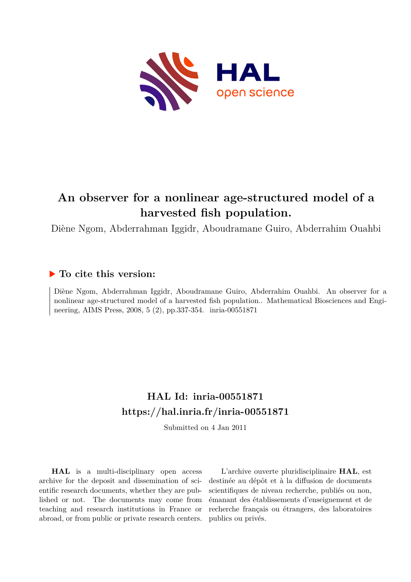

# **An observer for a nonlinear age-structured model of a harvested fish population.**

Diène Ngom, Abderrahman Iggidr, Aboudramane Guiro, Abderrahim Ouahbi

## **To cite this version:**

Diène Ngom, Abderrahman Iggidr, Aboudramane Guiro, Abderrahim Ouahbi. An observer for a nonlinear age-structured model of a harvested fish population.. Mathematical Biosciences and Engineering, AIMS Press, 2008, 5 (2), pp.337-354. inria-00551871

# **HAL Id: inria-00551871 <https://hal.inria.fr/inria-00551871>**

Submitted on 4 Jan 2011

**HAL** is a multi-disciplinary open access archive for the deposit and dissemination of scientific research documents, whether they are published or not. The documents may come from teaching and research institutions in France or abroad, or from public or private research centers.

L'archive ouverte pluridisciplinaire **HAL**, est destinée au dépôt et à la diffusion de documents scientifiques de niveau recherche, publiés ou non, émanant des établissements d'enseignement et de recherche français ou étrangers, des laboratoires publics ou privés.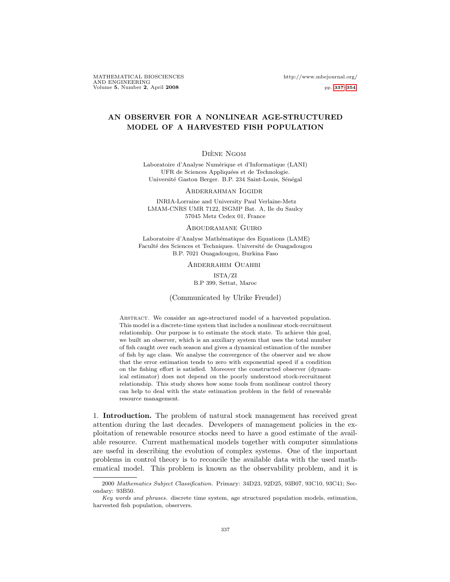MATHEMATICAL BIOSCIENCES http://www.mbejournal.org/ AND ENGINEERING Volume 5, Number 2, April 2008 pp. 337–354

### AN OBSERVER FOR A NONLINEAR AGE-STRUCTURED MODEL OF A HARVESTED FISH POPULATION

### DIÈNE NGOM

Laboratoire d'Analyse Numérique et d'Informatique (LANI) UFR de Sciences Appliquées et de Technologie. Université Gaston Berger. B.P. 234 Saint-Louis, Sénégal

Abderrahman Iggidr

INRIA-Lorraine and University Paul Verlaine-Metz LMAM-CNRS UMR 7122, ISGMP Bat. A, Ile du Saulcy 57045 Metz Cedex 01, France

#### Aboudramane Guiro

Laboratoire d'Analyse Mathématique des Equations (LAME) Faculté des Sciences et Techniques. Université de Ouagadougou B.P. 7021 Ouagadougou, Burkina Faso

Abderrahim Ouahbi

ISTA/ZI B.P 399, Settat, Maroc

(Communicated by Ulrike Freudel)

ABSTRACT. We consider an age-structured model of a harvested population. This model is a discrete-time system that includes a nonlinear stock-recruitment relationship. Our purpose is to estimate the stock state. To achieve this goal, we built an observer, which is an auxiliary system that uses the total number of fish caught over each season and gives a dynamical estimation of the number of fish by age class. We analyse the convergence of the observer and we show that the error estimation tends to zero with exponential speed if a condition on the fishing effort is satisfied. Moreover the constructed observer (dynamical estimator) does not depend on the poorly understood stock-recruitment relationship. This study shows how some tools from nonlinear control theory can help to deal with the state estimation problem in the field of renewable resource management.

1. Introduction. The problem of natural stock management has received great attention during the last decades. Developers of management policies in the exploitation of renewable resource stocks need to have a good estimate of the available resource. Current mathematical models together with computer simulations are useful in describing the evolution of complex systems. One of the important problems in control theory is to reconcile the available data with the used mathematical model. This problem is known as the observability problem, and it is

<sup>2000</sup> Mathematics Subject Classification. Primary: 34D23, 92D25, 93B07, 93C10, 93C41; Secondary: 93B50.

Key words and phrases. discrete time system, age structured population models, estimation, harvested fish population, observers.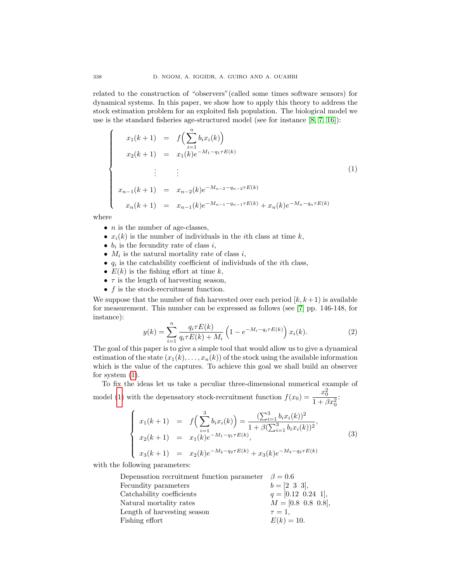related to the construction of "observers"(called some times software sensors) for dynamical systems. In this paper, we show how to apply this theory to address the stock estimation problem for an exploited fish population. The biological model we use is the standard fisheries age-structured model (see for instance [8, 7, 16]):

$$
\begin{cases}\n x_1(k+1) = f\left(\sum_{i=1}^n b_i x_i(k)\right) \\
 x_2(k+1) = x_1(k)e^{-M_1 - q_1 \tau E(k)} \\
 \vdots \\
 x_{n-1}(k+1) = x_{n-2}(k)e^{-M_{n-2} - q_{n-2} \tau E(k)} \\
 x_n(k+1) = x_{n-1}(k)e^{-M_{n-1} - q_{n-1} \tau E(k)} + x_n(k)e^{-M_n - q_n \tau E(k)}\n\end{cases}
$$
\n(1)

where

- $n$  is the number of age-classes,
- $x_i(k)$  is the number of individuals in the *i*th class at time k,
- $b_i$  is the fecundity rate of class i,
- $M_i$  is the natural mortality rate of class i,
- $q_i$  is the catchability coefficient of individuals of the *i*th class,
- $E(k)$  is the fishing effort at time k,
- $\tau$  is the length of harvesting season,
- $f$  is the stock-recruitment function.

We suppose that the number of fish harvested over each period  $[k, k+1]$  is available for measurement. This number can be expressed as follows (see [7] pp. 146-148, for instance):

$$
y(k) = \sum_{i=1}^{n} \frac{q_i \tau E(k)}{q_i \tau E(k) + M_i} \left( 1 - e^{-M_i - q_i \tau E(k)} \right) x_i(k).
$$
 (2)

The goal of this paper is to give a simple tool that would allow us to give a dynamical estimation of the state  $(x_1(k), \ldots, x_n(k))$  of the stock using the available information which is the value of the captures. To achieve this goal we shall build an observer for system (1).

To fix the ideas let us take a peculiar three-dimensional numerical example of model (1) with the depensatory stock-recruitment function  $f(x_0) = \frac{x_0^2}{1 + \beta x_0^2}$ :

$$
\begin{cases}\nx_1(k+1) = f\left(\sum_{i=1}^3 b_i x_i(k)\right) = \frac{(\sum_{i=1}^3 b_i x_i(k))^2}{1 + \beta(\sum_{i=1}^3 b_i x_i(k))^2}, \\
x_2(k+1) = x_1(k)e^{-M_1 - q_1 \tau E(k)}, \\
x_3(k+1) = x_2(k)e^{-M_2 - q_2 \tau E(k)} + x_3(k)e^{-M_3 - q_3 \tau E(k)}\n\end{cases}
$$
\n(3)

with the following parameters:

| Depensation recruitment function parameter $\beta = 0.6$ |                          |
|----------------------------------------------------------|--------------------------|
| Fecundity parameters                                     | $b=[2 \ 3 \ 3],$         |
| Catchability coefficients                                | $q = [0.12 \ 0.24 \ 1],$ |
| Natural mortality rates                                  | $M = [0.8 \ 0.8 \ 0.8],$ |
| Length of harvesting season                              | $\tau=1$ ,               |
| Fishing effort                                           | $E(k) = 10.$             |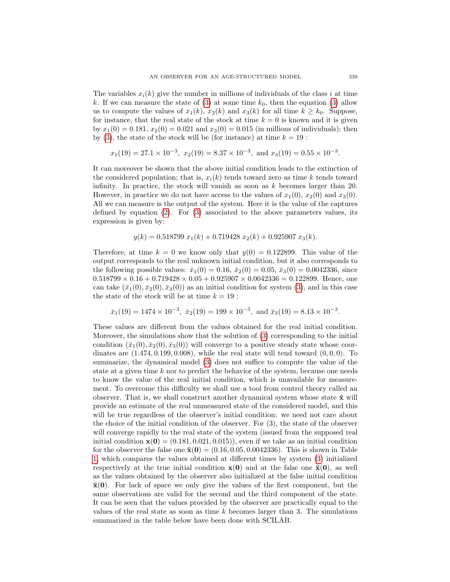The variables  $x_i(k)$  give the number in millions of individuals of the class i at time k. If we can measure the state of (3) at some time  $k_0$ , then the equation (3) allow us to compute the values of  $x_1(k)$ ,  $x_2(k)$  and  $x_3(k)$  for all time  $k \geq k_0$ . Suppose, for instance, that the real state of the stock at time  $k = 0$  is known and it is given by  $x_1(0) = 0.181$ ,  $x_2(0) = 0.021$  and  $x_3(0) = 0.015$  (in millions of individuals); then by (3), the state of the stock will be (for instance) at time  $k = 19$ :

$$
x_1(19) = 27.1 \times 10^{-3}
$$
,  $x_2(19) = 8.37 \times 10^{-3}$ , and  $x_3(19) = 0.55 \times 10^{-3}$ .

It can moreover be shown that the above initial condition leads to the extinction of the considered population; that is,  $x_i(k)$  tends toward zero as time k tends toward infinity. In practice, the stock will vanish as soon as  $k$  becomes larger than 20. However, in practice we do not have access to the values of  $x_1(0), x_2(0)$  and  $x_3(0)$ . All we can measure is the output of the system. Here it is the value of the captures defined by equation (2). For (3) associated to the above parameters values, its expression is given by:

$$
y(k) = 0.518799 x1(k) + 0.719428 x2(k) + 0.925907 x3(k).
$$

Therefore, at time  $k = 0$  we know only that  $y(0) = 0.122899$ . This value of the output corresponds to the real unknown initial condition, but it also corresponds to the following possible values:  $\bar{x}_1(0) = 0.16$ ,  $\bar{x}_2(0) = 0.05$ ,  $\bar{x}_3(0) = 0.0042336$ , since  $0.518799 \times 0.16 + 0.719428 \times 0.05 + 0.925907 \times 0.0042336 = 0.122899$ . Hence, one can take  $(\bar{x}_1(0), \bar{x}_2(0), \bar{x}_3(0))$  as an initial condition for system (3), and in this case the state of the stock will be at time  $k = 19$ :

$$
\bar{x}_1(19) = 1474 \times 10^{-3}, \ \bar{x}_2(19) = 199 \times 10^{-3}, \ \text{and} \ \bar{x}_3(19) = 8.13 \times 10^{-3}.
$$

These values are different from the values obtained for the real initial condition. Moreover, the simulations show that the solution of (3) corresponding to the initial condition  $(\bar{x}_1(0), \bar{x}_2(0), \bar{x}_3(0))$  will converge to a positive steady state whose coordinates are  $(1.474, 0.199, 0.008)$ , while the real state will tend toward  $(0, 0, 0)$ . To summarize, the dynamical model (3) does not suffice to compute the value of the state at a given time  $k$  nor to predict the behavior of the system, because one needs to know the value of the real initial condition, which is unavailable for measurement. To overcome this difficulty we shall use a tool from control theory called an observer. That is, we shall construct another dynamical system whose state  $\hat{\mathbf{x}}$  will provide an estimate of the real unmeasured state of the considered model, and this will be true regardless of the observer's initial condition: we need not care about the choice of the initial condition of the observer. For (3), the state of the observer will converge rapidly to the real state of the system (issued from the supposed real initial condition  $\mathbf{x}(0) = (0.181, 0.021, 0.015)$ , even if we take as an initial condition for the observer the false one  $\bar{x}(0) = (0.16, 0.05, 0.0042336)$ . This is shown in Table 1, which compares the values obtained at different times by system (3) initialized respectively at the true initial condition  $\mathbf{x}(0)$  and at the false one  $\bar{\mathbf{x}}(0)$ , as well as the values obtained by the observer also initialized at the false initial condition  $\bar{x}(0)$ . For lack of space we only give the values of the first component, but the same observations are valid for the second and the third component of the state. It can be seen that the values provided by the observer are practically equal to the values of the real state as soon as time  $k$  becomes larger than 3. The simulations summarized in the table below have been done with SCILAB.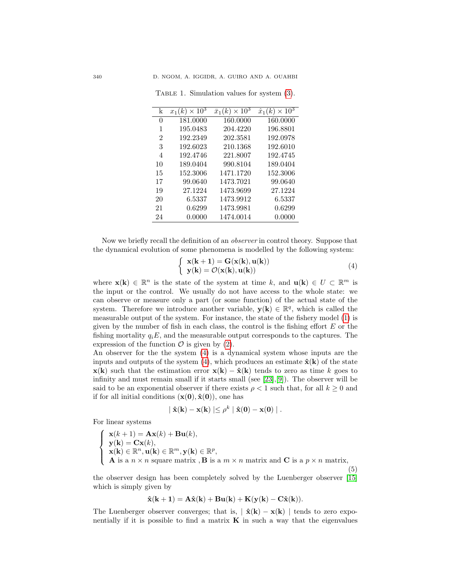| k  | $\times 10^3$<br>$x_1(k)$ | $\times 10^3$<br>$\bar{x}_1(k)$ | $\times 10^3$<br>$\hat{x}_1(k)$ |
|----|---------------------------|---------------------------------|---------------------------------|
| 0  | 181.0000                  | 160.0000                        | 160.0000                        |
| 1  | 195.0483                  | 204.4220                        | 196.8801                        |
| 2  | 192.2349                  | 202.3581                        | 192.0978                        |
| 3  | 192.6023                  | 210.1368                        | 192.6010                        |
| 4  | 192.4746                  | 221.8007                        | 192.4745                        |
| 10 | 189.0404                  | 990.8104                        | 189.0404                        |
| 15 | 152.3006                  | 1471.1720                       | 152.3006                        |
| 17 | 99.0640                   | 1473.7021                       | 99.0640                         |
| 19 | 27.1224                   | 1473.9699                       | 27.1224                         |
| 20 | 6.5337                    | 1473.9912                       | 6.5337                          |
| 21 | 0.6299                    | 1473.9981                       | 0.6299                          |
| 24 | 0.0000                    | 1474.0014                       | 0.0000                          |

TABLE 1. Simulation values for system  $(3)$ .

Now we briefly recall the definition of an observer in control theory. Suppose that the dynamical evolution of some phenomena is modelled by the following system:

$$
\begin{cases} \mathbf{x}(\mathbf{k} + \mathbf{1}) = \mathbf{G}(\mathbf{x}(\mathbf{k}), \mathbf{u}(\mathbf{k})) \\ \mathbf{y}(\mathbf{k}) = \mathcal{O}(\mathbf{x}(\mathbf{k}), \mathbf{u}(\mathbf{k})) \end{cases} (4)
$$

where  $\mathbf{x}(\mathbf{k}) \in \mathbb{R}^n$  is the state of the system at time k, and  $\mathbf{u}(\mathbf{k}) \in U \subset \mathbb{R}^m$  is the input or the control. We usually do not have access to the whole state: we can observe or measure only a part (or some function) of the actual state of the system. Therefore we introduce another variable,  $y(k) \in \mathbb{R}^q$ , which is called the measurable output of the system. For instance, the state of the fishery model (1) is given by the number of fish in each class, the control is the fishing effort  $E$  or the fishing mortality  $q_iE$ , and the measurable output corresponds to the captures. The expression of the function  $\mathcal O$  is given by (2).

An observer for the the system (4) is a dynamical system whose inputs are the inputs and outputs of the system (4), which produces an estimate  $\hat{\mathbf{x}}(\mathbf{k})$  of the state  $\mathbf{x}(\mathbf{k})$  such that the estimation error  $\mathbf{x}(\mathbf{k}) - \hat{\mathbf{x}}(\mathbf{k})$  tends to zero as time k goes to infinity and must remain small if it starts small (see [23],[9]). The observer will be said to be an exponential observer if there exists  $\rho < 1$  such that, for all  $k \geq 0$  and if for all initial conditions  $(\mathbf{x}(0), \hat{\mathbf{x}}(0))$ , one has

$$
\mid \hat{\mathbf{x}}(\mathbf{k}) - \mathbf{x}(\mathbf{k}) \mid \leq \rho^k \mid \hat{\mathbf{x}}(\mathbf{0}) - \mathbf{x}(\mathbf{0}) \mid.
$$

For linear systems

$$
\begin{cases}\n\mathbf{x}(k+1) = \mathbf{A}\mathbf{x}(k) + \mathbf{B}\mathbf{u}(k), \\
\mathbf{y}(k) = \mathbf{C}\mathbf{x}(k), \\
\mathbf{x}(k) \in \mathbb{R}^n, \mathbf{u}(k) \in \mathbb{R}^m, \mathbf{y}(k) \in \mathbb{R}^p, \\
\mathbf{A} \text{ is a } n \times n \text{ square matrix }, \mathbf{B} \text{ is a } m \times n \text{ matrix and } \mathbf{C} \text{ is a } p \times n \text{ matrix},\n\end{cases}
$$
\n(5)

the observer design has been completely solved by the Luenberger observer [15] which is simply given by

$$
\hat{\mathbf{x}}(\mathbf{k+1}) = \mathbf{A}\hat{\mathbf{x}}(\mathbf{k}) + \mathbf{B}\mathbf{u}(\mathbf{k}) + \mathbf{K}(\mathbf{y}(\mathbf{k}) - \mathbf{C}\hat{\mathbf{x}}(\mathbf{k})).
$$

The Luenberger observer converges; that is,  $|\hat{\mathbf{x}}(\mathbf{k}) - \mathbf{x}(\mathbf{k})|$  tends to zero exponentially if it is possible to find a matrix  $\bf{K}$  in such a way that the eigenvalues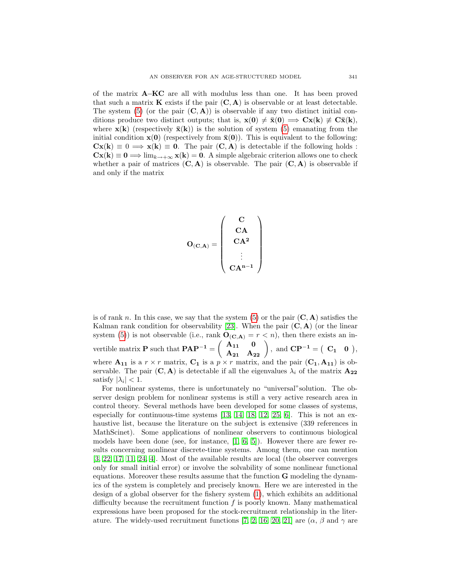of the matrix A−KC are all with modulus less than one. It has been proved that such a matrix  $\bf{K}$  exists if the pair  $(\bf{C}, \bf{A})$  is observable or at least detectable. The system (5) (or the pair  $(C, A)$ ) is observable if any two distinct initial conditions produce two distinct outputs; that is,  $\mathbf{x}(0) \neq \bar{\mathbf{x}}(0) \implies \mathbf{C}\mathbf{x}(k) \neq \bar{\mathbf{C}}\bar{\mathbf{x}}(k)$ , where  $\mathbf{x}(\mathbf{k})$  (respectively  $\bar{\mathbf{x}}(\mathbf{k})$ ) is the solution of system (5) emanating from the initial condition  $\mathbf{x}(0)$  (respectively from  $\bar{\mathbf{x}}(0)$ ). This is equivalent to the following:  $\mathbf{C}\mathbf{x}(\mathbf{k}) \equiv 0 \Longrightarrow \mathbf{x}(\mathbf{k}) \equiv \mathbf{0}$ . The pair  $(\mathbf{C}, \mathbf{A})$  is detectable if the following holds :  $Cx(k) \equiv 0 \Longrightarrow \lim_{k \to +\infty} x(k) = 0$ . A simple algebraic criterion allows one to check whether a pair of matrices  $(C, A)$  is observable. The pair  $(C, A)$  is observable if and only if the matrix

$$
O_{(\mathbf{C}, \mathbf{A})} = \left(\begin{array}{c} \mathbf{C} \\ \mathbf{C} \mathbf{A} \\ \mathbf{C} \mathbf{A}^2 \\ \vdots \\ \mathbf{C} \mathbf{A}^{n-1} \end{array}\right)
$$

is of rank n. In this case, we say that the system  $(5)$  or the pair  $(C, A)$  satisfies the Kalman rank condition for observability [23]. When the pair  $(C, A)$  (or the linear system (5)) is not observable (i.e., rank  $\mathbf{O}_{(\mathbf{C},\mathbf{A})}=r \langle n \rangle$ , then there exists an invertible matrix **P** such that  $\mathbf{PAP^{-1}} = \begin{pmatrix} \mathbf{A_{11}} & \mathbf{0} \\ \mathbf{A_{21}} & \mathbf{A_{22}} \end{pmatrix}$ , and  $\mathbf{CP^{-1}} = \begin{pmatrix} \mathbf{C_1} & \mathbf{0} \end{pmatrix}$ , where  $A_{11}$  is a  $r \times r$  matrix,  $C_1$  is a  $p \times r$  matrix, and the pair  $(C_1, A_{11})$  is observable. The pair  $(C, A)$  is detectable if all the eigenvalues  $\lambda_i$  of the matrix  $A_{22}$ satisfy  $|\lambda_i| < 1$ .

For nonlinear systems, there is unfortunately no "universal"solution. The observer design problem for nonlinear systems is still a very active research area in control theory. Several methods have been developed for some classes of systems, especially for continuous-time systems  $[13, 14, 18, 12, 25, 6]$ . This is not an exhaustive list, because the literature on the subject is extensive (339 references in MathScinet). Some applications of nonlinear observers to continuous biological models have been done (see, for instance,  $[1, 6, 5]$ ). However there are fewer results concerning nonlinear discrete-time systems. Among them, one can mention [3, 22, 17, 11, 24, 4]. Most of the available results are local (the observer converges only for small initial error) or involve the solvability of some nonlinear functional equations. Moreover these results assume that the function G modeling the dynamics of the system is completely and precisely known. Here we are interested in the design of a global observer for the fishery system (1), which exhibits an additional difficulty because the recruitment function  $f$  is poorly known. Many mathematical expressions have been proposed for the stock-recruitment relationship in the literature. The widely-used recruitment functions [7, 2, 16, 20, 21] are  $(\alpha, \beta \text{ and } \gamma \text{ are }$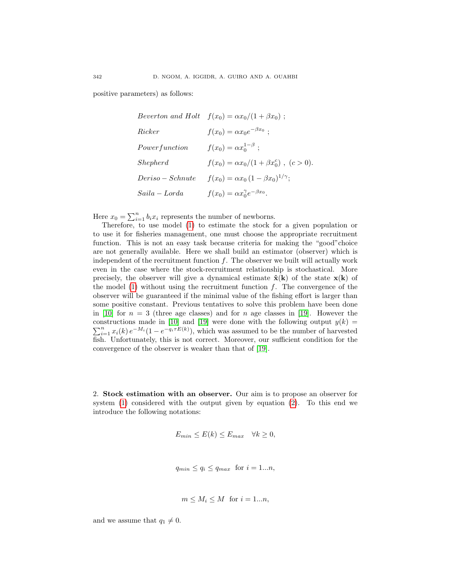positive parameters) as follows:

$$
Beverton and Holt \t f(x_0) = \alpha x_0/(1 + \beta x_0) ;
$$
  
\n
$$
Ricker \t f(x_0) = \alpha x_0 e^{-\beta x_0} ;
$$
  
\n
$$
Powerfunction \t f(x_0) = \alpha x_0^{1-\beta} ;
$$
  
\n
$$
Shepherd \t f(x_0) = \alpha x_0/(1 + \beta x_0^c) , (c > 0).
$$
  
\n
$$
Deriso-Schnute \t f(x_0) = \alpha x_0 (1 - \beta x_0)^{1/\gamma} ;
$$
  
\n
$$
Saila - Lorda \t f(x_0) = \alpha x_0^{\gamma} e^{-\beta x_0} .
$$

Here  $x_0 = \sum_{i=1}^n b_i x_i$  represents the number of newborns.

Therefore, to use model (1) to estimate the stock for a given population or to use it for fisheries management, one must choose the appropriate recruitment function. This is not an easy task because criteria for making the "good"choice are not generally available. Here we shall build an estimator (observer) which is independent of the recruitment function  $f$ . The observer we built will actually work even in the case where the stock-recruitment relationship is stochastical. More precisely, the observer will give a dynamical estimate  $\hat{\mathbf{x}}(\mathbf{k})$  of the state  $\mathbf{x}(\mathbf{k})$  of the model  $(1)$  without using the recruitment function f. The convergence of the observer will be guaranteed if the minimal value of the fishing effort is larger than some positive constant. Previous tentatives to solve this problem have been done in [10] for  $n = 3$  (three age classes) and for n age classes in [19]. However the P constructions made in [10] and [19] were done with the following output  $y(k) = \sum_{i=1}^{n} x_i(k) e^{-M_i} (1 - e^{-q_i \tau E(k)})$ , which was assumed to be the number of harvested fish. Unfortunately, this is not correct. Moreover, our sufficient condition for the convergence of the observer is weaker than that of [19].

2. Stock estimation with an observer. Our aim is to propose an observer for system (1) considered with the output given by equation (2). To this end we introduce the following notations:

$$
E_{min} \le E(k) \le E_{max} \quad \forall k \ge 0,
$$

$$
q_{min} \le q_i \le q_{max} \text{ for } i = 1...n,
$$

$$
m \le M_i \le M \text{ for } i = 1...n,
$$

and we assume that  $q_1 \neq 0$ .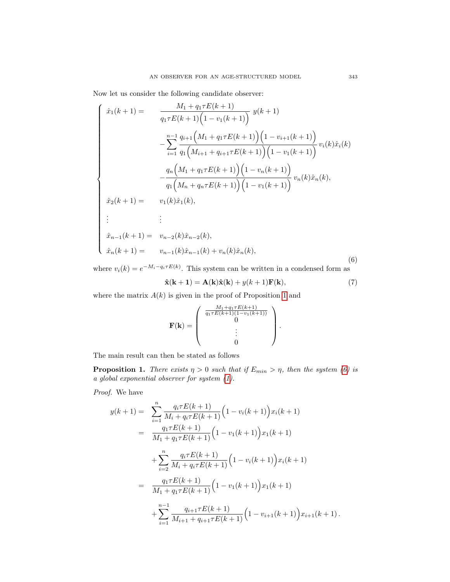Now let us consider the following candidate observer:

$$
\begin{cases}\n\hat{x}_{1}(k+1) = \frac{M_{1} + q_{1} \tau E(k+1)}{q_{1} \tau E(k+1) \left(1 - v_{1}(k+1)\right)} y(k+1) \\
-\sum_{i=1}^{n-1} \frac{q_{i+1} \left(M_{1} + q_{1} \tau E(k+1)\right) \left(1 - v_{i+1}(k+1)\right)}{q_{1} \left(M_{i+1} + q_{i+1} \tau E(k+1)\right) \left(1 - v_{1}(k+1)\right)} v_{i}(k) \hat{x}_{i}(k) \\
-\frac{q_{n} \left(M_{1} + q_{1} \tau E(k+1)\right) \left(1 - v_{n}(k+1)\right)}{q_{1} \left(M_{n} + q_{n} \tau E(k+1)\right) \left(1 - v_{1}(k+1)\right)} v_{n}(k) \hat{x}_{n}(k), \\
\hat{x}_{2}(k+1) = v_{1}(k) \hat{x}_{1}(k), \\
\vdots \\
\hat{x}_{n-1}(k+1) = v_{n-2}(k) \hat{x}_{n-2}(k), \\
\hat{x}_{n}(k+1) = v_{n-1}(k) \hat{x}_{n-1}(k) + v_{n}(k) \hat{x}_{n}(k),\n\end{cases}
$$
\n(6)

where  $v_i(k) = e^{-M_i - q_i \tau E(k)}$ . This system can be written in a condensed form as

$$
\hat{\mathbf{x}}(\mathbf{k+1}) = \mathbf{A}(\mathbf{k})\hat{\mathbf{x}}(\mathbf{k}) + y(k+1)\mathbf{F}(\mathbf{k}),
$$
\n(7)

where the matrix  $A(k)$  is given in the proof of Proposition 1 and

$$
\mathbf{F}(\mathbf{k}) = \begin{pmatrix} \frac{M_1 + q_1 \tau E(k+1)}{q_1 \tau E(k+1)(1-v_1(k+1))} \\ 0 \\ \vdots \\ 0 \end{pmatrix}.
$$

The main result can then be stated as follows

**Proposition 1.** There exists  $\eta > 0$  such that if  $E_{min} > \eta$ , then the system (6) is a global exponential observer for system (1).

Proof. We have

$$
y(k+1) = \sum_{i=1}^{n} \frac{q_i \tau E(k+1)}{M_i + q_i \tau E(k+1)} \Big( 1 - v_i(k+1) \Big) x_i(k+1)
$$
  
\n
$$
= \frac{q_1 \tau E(k+1)}{M_1 + q_1 \tau E(k+1)} \Big( 1 - v_1(k+1) \Big) x_1(k+1)
$$
  
\n
$$
+ \sum_{i=2}^{n} \frac{q_i \tau E(k+1)}{M_i + q_i \tau E(k+1)} \Big( 1 - v_i(k+1) \Big) x_i(k+1)
$$
  
\n
$$
= \frac{q_1 \tau E(k+1)}{M_1 + q_1 \tau E(k+1)} \Big( 1 - v_1(k+1) \Big) x_1(k+1)
$$
  
\n
$$
+ \sum_{i=1}^{n-1} \frac{q_{i+1} \tau E(k+1)}{M_{i+1} + q_{i+1} \tau E(k+1)} \Big( 1 - v_{i+1}(k+1) \Big) x_{i+1}(k+1).
$$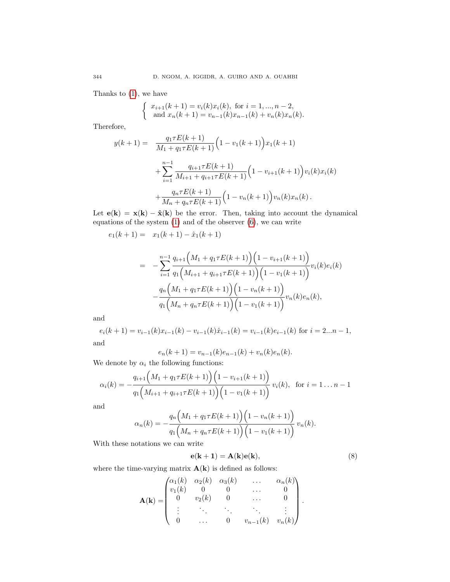Thanks to (1), we have

$$
\begin{cases} x_{i+1}(k+1) = v_i(k)x_i(k), \text{ for } i = 1, ..., n-2, \\ \text{ and } x_n(k+1) = v_{n-1}(k)x_{n-1}(k) + v_n(k)x_n(k). \end{cases}
$$

Therefore,

$$
y(k+1) = \frac{q_1 \tau E(k+1)}{M_1 + q_1 \tau E(k+1)} \Big( 1 - v_1(k+1) \Big) x_1(k+1)
$$
  
+ 
$$
\sum_{i=1}^{n-1} \frac{q_{i+1} \tau E(k+1)}{M_{i+1} + q_{i+1} \tau E(k+1)} \Big( 1 - v_{i+1}(k+1) \Big) v_i(k) x_i(k)
$$
  
+ 
$$
\frac{q_n \tau E(k+1)}{M_n + q_n \tau E(k+1)} \Big( 1 - v_n(k+1) \Big) v_n(k) x_n(k).
$$

Let  $e(k) = x(k) - \hat{x}(k)$  be the error. Then, taking into account the dynamical equations of the system  $(1)$  and of the observer  $(6)$ , we can write

$$
e_1(k+1) = x_1(k+1) - \hat{x}_1(k+1)
$$

$$
= -\sum_{i=1}^{n-1} \frac{q_{i+1}(M_1 + q_1 \tau E(k+1)) (1 - v_{i+1}(k+1))}{q_1(M_{i+1} + q_{i+1} \tau E(k+1)) (1 - v_1(k+1))} v_i(k) e_i(k)
$$

$$
- \frac{q_n(M_1 + q_1 \tau E(k+1)) (1 - v_n(k+1))}{q_1(M_n + q_n \tau E(k+1)) (1 - v_1(k+1))} v_n(k) e_n(k),
$$

and

$$
e_i(k+1) = v_{i-1}(k)x_{i-1}(k) - v_{i-1}(k)\hat{x}_{i-1}(k) = v_{i-1}(k)e_{i-1}(k)
$$
 for  $i = 2...n - 1$ ,  
and

$$
e_n(k+1) = v_{n-1}(k)e_{n-1}(k) + v_n(k)e_n(k).
$$

We denote by  $\alpha_i$  the following functions:

$$
\alpha_i(k) = -\frac{q_{i+1}(M_1 + q_1 \tau E(k+1)) (1 - v_{i+1}(k+1))}{q_1(M_{i+1} + q_{i+1} \tau E(k+1)) (1 - v_1(k+1))} v_i(k), \text{ for } i = 1...n-1
$$

and

$$
\alpha_n(k) = -\frac{q_n\Big(M_1 + q_1 \tau E(k+1)\Big)\Big(1 - v_n(k+1)\Big)}{q_1\Big(M_n + q_n \tau E(k+1)\Big)\Big(1 - v_1(k+1)\Big)} v_n(k).
$$

With these notations we can write

$$
\mathbf{e}(\mathbf{k+1}) = \mathbf{A}(\mathbf{k})\mathbf{e}(\mathbf{k}),\tag{8}
$$

.

where the time-varying matrix  $A(k)$  is defined as follows:

$$
\mathbf{A}(\mathbf{k}) = \begin{pmatrix} \alpha_1(k) & \alpha_2(k) & \alpha_3(k) & \dots & \alpha_n(k) \\ v_1(k) & 0 & 0 & \dots & 0 \\ 0 & v_2(k) & 0 & \dots & 0 \\ \vdots & \vdots & \ddots & \vdots & \vdots \\ 0 & \dots & 0 & v_{n-1}(k) & v_n(k) \end{pmatrix}
$$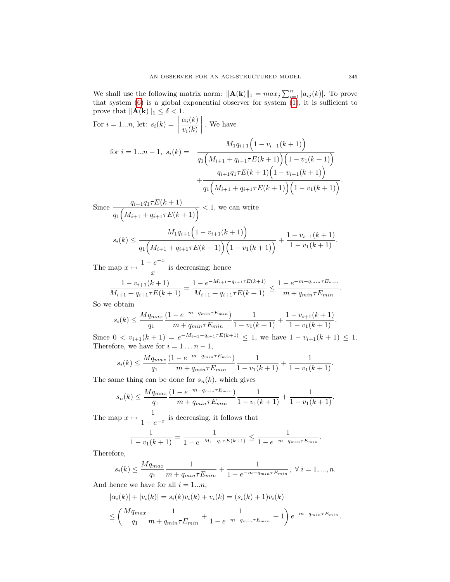We shall use the following matrix norm:  $\|\mathbf{A}(\mathbf{k})\|_1 = max_j \sum_{i=1}^n |a_{ij}(k)|$ . To prove that system (6) is a global exponential observer for system (1), it is sufficient to prove that  $\|\mathbf{A}(\mathbf{k})\|_1 \leq \delta < 1$ .  $\alpha_i(k)$ 

For 
$$
i = 1...n
$$
, let:  $s_i(k) = \left| \frac{\alpha_i(k)}{v_i(k)} \right|$ . We have  
\nfor  $i = 1...n - 1$ ,  $s_i(k) = \frac{M_1 q_{i+1} \left( 1 - v_{i+1}(k+1) \right)}{q_1 \left( M_{i+1} + q_{i+1} \tau E(k+1) \right) \left( 1 - v_1(k+1) \right)}$   
\n $+ \frac{q_{i+1} q_1 \tau E(k+1) \left( 1 - v_{i+1}(k+1) \right)}{q_1 \left( M_{i+1} + q_{i+1} \tau E(k+1) \right) \left( 1 - v_1(k+1) \right)}$ .

Since  $\frac{q_{i+1}q_1\tau E(k+1)}{4}$  $\frac{q_{i+1}q_1 \cdot \Delta(n+1)}{q_1 \big(M_{i+1} + q_{i+1} \tau E(k+1)\big)} < 1$ , we can write

$$
s_i(k) \le \frac{M_1 q_{i+1} \left(1 - v_{i+1}(k+1)\right)}{q_1 \left(M_{i+1} + q_{i+1} \tau E(k+1)\right) \left(1 - v_1(k+1)\right)} + \frac{1 - v_{i+1}(k+1)}{1 - v_1(k+1)}.
$$

The map  $x \mapsto \frac{1 - e^{-x}}{x}$  $\frac{c}{x}$  is decreasing; hence

$$
\frac{1 - v_{i+1}(k+1)}{M_{i+1} + q_{i+1}\tau E(k+1)} = \frac{1 - e^{-M_{i+1} - q_{i+1}\tau E(k+1)}}{M_{i+1} + q_{i+1}\tau E(k+1)} \le \frac{1 - e^{-m - q_{min}\tau E_{min}}}{m + q_{min}\tau E_{min}}.
$$

So we obtain

$$
s_i(k) \le \frac{Mq_{max}}{q_1} \frac{(1 - e^{-m - q_{min} \tau E_{min}})}{m + q_{min} \tau E_{min}} \frac{1}{1 - v_1(k+1)} + \frac{1 - v_{i+1}(k+1)}{1 - v_1(k+1)}.
$$

Since  $0 < v_{i+1}(k+1) = e^{-M_{i+1} - q_{i+1} \tau E(k+1)} \leq 1$ , we have  $1 - v_{i+1}(k+1) \leq 1$ . Therefore, we have for  $i = 1 \dots n - 1$ ,

$$
s_i(k) \le \frac{Mq_{max}}{q_1} \frac{(1 - e^{-m - q_{min} \tau E_{min}})}{m + q_{min} \tau E_{min}} \frac{1}{1 - v_1(k+1)} + \frac{1}{1 - v_1(k+1)}.
$$

The same thing can be done for  $s_n(k)$ , which gives

$$
s_n(k) \le \frac{Mq_{max}}{q_1} \frac{(1 - e^{-m - q_{min} \tau E_{min}})}{m + q_{min} \tau E_{min}} \frac{1}{1 - v_1(k+1)} + \frac{1}{1 - v_1(k+1)}.
$$

The map  $x \mapsto \frac{1}{1}$  $\frac{1}{1-e^{-x}}$  is decreasing, it follows that

$$
\frac{1}{1 - v_1(k+1)} = \frac{1}{1 - e^{-M_1 - q_1 \tau E(k+1)}} \le \frac{1}{1 - e^{-m - q_{min} \tau E_{min}}}.
$$

Therefore,

$$
s_i(k) \le \frac{Mq_{max}}{q_1} \frac{1}{m + q_{min} \tau E_{min}} + \frac{1}{1 - e^{-m - q_{min} \tau E_{min}}}, \ \forall \ i = 1, ..., n.
$$

And hence we have for all  $i = 1...n$ ,

$$
|\alpha_i(k)| + |v_i(k)| = s_i(k)v_i(k) + v_i(k) = (s_i(k) + 1)v_i(k)
$$
  

$$
\leq \left(\frac{Mq_{max}}{q_1} \frac{1}{m + q_{min} \tau E_{min}} + \frac{1}{1 - e^{-m - q_{min} \tau E_{min}}} + 1\right) e^{-m - q_{min} \tau E_{min}}.
$$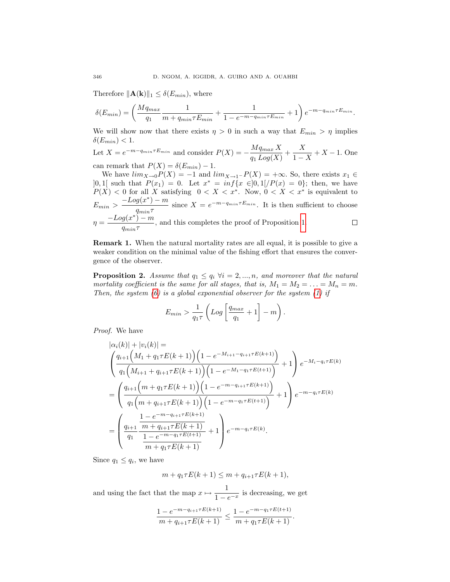Therefore  $||\mathbf{A}(\mathbf{k})||_1 \leq \delta(E_{min})$ , where

$$
\delta(E_{min}) = \left(\frac{Mq_{max}}{q_1} \frac{1}{m + q_{min} \tau E_{min}} + \frac{1}{1 - e^{-m - q_{min} \tau E_{min}}} + 1\right) e^{-m - q_{min} \tau E_{min}}.
$$

We will show now that there exists  $\eta > 0$  in such a way that  $E_{min} > \eta$  implies  $\delta(E_{min})$  < 1.

Let 
$$
X = e^{-m-q_{min}\tau E_{min}}
$$
 and consider  $P(X) = -\frac{Mq_{max}X}{q_1 Log(X)} + \frac{X}{1-X} + X - 1$ . One

can remark that  $P(X) = \delta(E_{min}) - 1$ . We have  $\lim_{X\to 0} P(X) = -1$  and  $\lim_{X\to 1^-} P(X) = +\infty$ . So, there exists  $x_1 \in$  $]0,1[$  such that  $P(x_1) = 0$ . Let  $x^* = \inf\{x \in ]0,1]/P(x) = 0\}$ ; then, we have

 $P(X) < 0$  for all X satisfying  $0 < X < x^*$ . Now,  $0 < X < x^*$  is equivalent to  $E_{min} > \frac{-Log(x^*) - m}{n}$  $\frac{g(x)-m}{q_{min}\tau}$  since  $X = e^{-m-q_{min}\tau E_{min}}$ . It is then sufficient to choose  $\eta = \frac{-Log(x^*) - m}{m}$  $\frac{g(x)}{q_{min}\tau}$ , and this completes the proof of Proposition 1.

Remark 1. When the natural mortality rates are all equal, it is possible to give a weaker condition on the minimal value of the fishing effort that ensures the convergence of the observer.

**Proposition 2.** Assume that  $q_1 \leq q_i$   $\forall i = 2, ..., n$ , and moreover that the natural mortality coefficient is the same for all stages, that is,  $M_1 = M_2 = \ldots = M_n = m$ . Then, the system  $(6)$  is a global exponential observer for the system  $(1)$  if

$$
E_{min} > \frac{1}{q_1 \tau} \left( Log \left[ \frac{q_{max}}{q_1} + 1 \right] - m \right).
$$

Proof. We have

$$
|\alpha_i(k)| + |v_i(k)| =
$$
  
\n
$$
\left(\frac{q_{i+1}(M_1 + q_1 \tau E(k+1)) (1 - e^{-M_{i+1} - q_{i+1} \tau E(k+1)})}{q_1(M_{i+1} + q_{i+1} \tau E(k+1)) (1 - e^{-M_1 - q_1 \tau E(k+1)})} + 1\right) e^{-M_i - q_i \tau E(k)}
$$
  
\n
$$
= \left(\frac{q_{i+1}(m + q_1 \tau E(k+1)) (1 - e^{-m - q_{i+1} \tau E(k+1)})}{q_1(m + q_{i+1} \tau E(k+1)) (1 - e^{-m - q_1 \tau E(k+1)})} + 1\right) e^{-m - q_i \tau E(k)}
$$
  
\n
$$
= \left(\frac{q_{i+1}}{q_1} \frac{\frac{1 - e^{-m - q_{i+1} \tau E(k+1)}}{m + q_1 \tau E(k+1)}} + 1\right) e^{-m - q_i \tau E(k)}.
$$

Since  $q_1 \leq q_i$ , we have

$$
m + q_1 \tau E(k+1) \le m + q_{i+1} \tau E(k+1),
$$

and using the fact that the map  $x \mapsto \frac{1}{1}$  $\frac{1}{1-e^{-x}}$  is decreasing, we get

$$
\frac{1 - e^{-m - q_{i+1}\tau E(k+1)}}{m + q_{i+1}\tau E(k+1)} \le \frac{1 - e^{-m - q_1\tau E(t+1)}}{m + q_1\tau E(k+1)}.
$$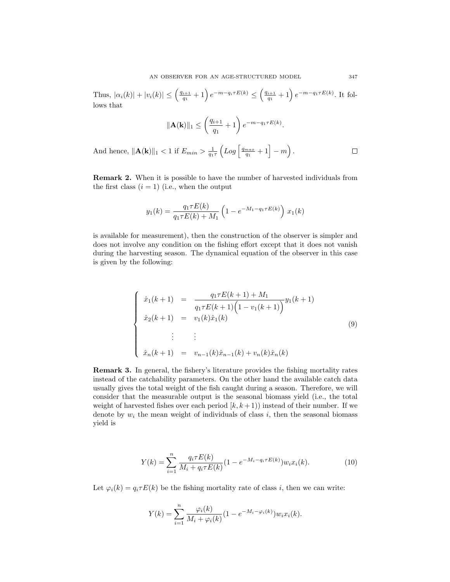Thus,  $|\alpha_i(k)| + |v_i(k)| \leq \left(\frac{q_{i+1}}{q_i}\right)$  $\left(\frac{q_{i+1}}{q_1}+1\right)e^{-m-q_i\tau E(k)} \leq \left(\frac{q_{i+1}}{q_1}\right)$  $\frac{q_{11}}{q_{1}}+1\right)e^{-m-q_{1}\tau E(k)}$ . It follows that

$$
\|\mathbf{A}(\mathbf{k})\|_{1} \leq \left(\frac{q_{i+1}}{q_{1}}+1\right) e^{-m-q_{1}\tau E(k)}.
$$

And hence,  $||\mathbf{A}(\mathbf{k})||_1 < 1$  if  $E_{min} > \frac{1}{q_1 \tau} \left( Log \left[ \frac{q_{max}}{q_1} + 1 \right] - m \right)$ .  $\Box$ 

Remark 2. When it is possible to have the number of harvested individuals from the first class  $(i = 1)$  (i.e., when the output

$$
y_1(k) = \frac{q_1 \tau E(k)}{q_1 \tau E(k) + M_1} \left( 1 - e^{-M_1 - q_1 \tau E(k)} \right) x_1(k)
$$

is available for measurement), then the construction of the observer is simpler and does not involve any condition on the fishing effort except that it does not vanish during the harvesting season. The dynamical equation of the observer in this case is given by the following:

$$
\begin{cases}\n\hat{x}_1(k+1) = \frac{q_1 \tau E(k+1) + M_1}{q_1 \tau E(k+1) \left(1 - v_1(k+1)\right)} y_1(k+1) \\
\hat{x}_2(k+1) = v_1(k)\hat{x}_1(k) \\
\vdots \\
\hat{x}_n(k+1) = v_{n-1}(k)\hat{x}_{n-1}(k) + v_n(k)\hat{x}_n(k)\n\end{cases} (9)
$$

Remark 3. In general, the fishery's literature provides the fishing mortality rates instead of the catchability parameters. On the other hand the available catch data usually gives the total weight of the fish caught during a season. Therefore, we will consider that the measurable output is the seasonal biomass yield (i.e., the total weight of harvested fishes over each period  $[k, k+1)$  instead of their number. If we denote by  $w_i$  the mean weight of individuals of class i, then the seasonal biomass yield is

$$
Y(k) = \sum_{i=1}^{n} \frac{q_i \tau E(k)}{M_i + q_i \tau E(k)} (1 - e^{-M_i - q_i \tau E(k)}) w_i x_i(k).
$$
 (10)

Let  $\varphi_i(k) = q_i \tau E(k)$  be the fishing mortality rate of class i, then we can write:

$$
Y(k) = \sum_{i=1}^{n} \frac{\varphi_i(k)}{M_i + \varphi_i(k)} (1 - e^{-M_i - \varphi_i(k)}) w_i x_i(k).
$$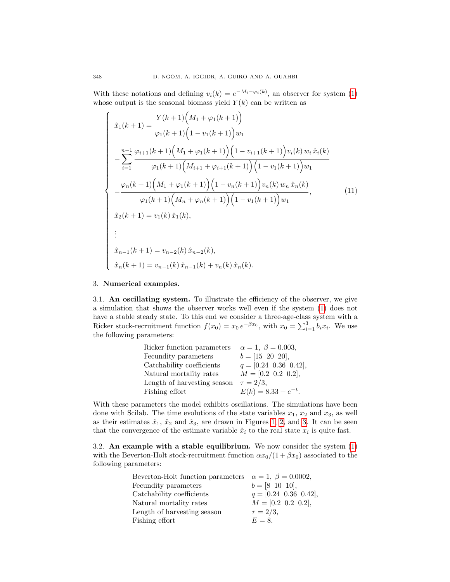With these notations and defining  $v_i(k) = e^{-M_i - \varphi_i(k)}$ , an observer for system (1) whose output is the seasonal biomass yield  $Y(k)$  can be written as

$$
\begin{cases}\n\hat{x}_1(k+1) = \frac{Y(k+1)\left(M_1 + \varphi_1(k+1)\right)}{\varphi_1(k+1)\left(1 - v_1(k+1)\right)w_1} \\
-\sum_{i=1}^{n-1} \frac{\varphi_{i+1}(k+1)\left(M_1 + \varphi_1(k+1)\right)\left(1 - v_{i+1}(k+1)\right)v_i(k) w_i \hat{x}_i(k)}{\varphi_1(k+1)\left(M_{i+1} + \varphi_{i+1}(k+1)\right)\left(1 - v_1(k+1)\right)w_1} \\
-\frac{\varphi_n(k+1)\left(M_1 + \varphi_1(k+1)\right)\left(1 - v_n(k+1)\right)v_n(k) w_n \hat{x}_n(k)}{\varphi_1(k+1)\left(M_n + \varphi_n(k+1)\right)\left(1 - v_1(k+1)\right)w_1},\n\hat{x}_2(k+1) = v_1(k)\hat{x}_1(k),\n\vdots \\
\hat{x}_{n-1}(k+1) = v_{n-2}(k)\hat{x}_{n-2}(k),\n\hat{x}_n(k+1) = v_{n-1}(k)\hat{x}_{n-1}(k) + v_n(k)\hat{x}_n(k).\n\end{cases}
$$
\n(11)

#### 3. Numerical examples.

3.1. An oscillating system. To illustrate the efficiency of the observer, we give a simulation that shows the observer works well even if the system (1) does not have a stable steady state. To this end we consider a three-age-class system with a Ricker stock-recruitment function  $f(x_0) = x_0 e^{-\beta x_0}$ , with  $x_0 = \sum_{i=1}^{3} b_i x_i$ . We use the following parameters:

| Ricker function parameters  | $\alpha = 1, \ \beta = 0.003,$ |
|-----------------------------|--------------------------------|
| Fecundity parameters        | $b = [15 \ 20 \ 20],$          |
| Catchability coefficients   | $q = [0.24 \ 0.36 \ 0.42],$    |
| Natural mortality rates     | $M = [0.2 \ 0.2 \ 0.2],$       |
| Length of harvesting season | $\tau = 2/3$ ,                 |
| Fishing effort              | $E(k) = 8.33 + e^{-t}.$        |

With these parameters the model exhibits oscillations. The simulations have been done with Scilab. The time evolutions of the state variables  $x_1, x_2$  and  $x_3$ , as well as their estimates  $\hat{x}_1$ ,  $\hat{x}_2$  and  $\hat{x}_3$ , are drawn in Figures 1, 2, and 3. It can be seen that the convergence of the estimate variable  $\hat{x}_i$  to the real state  $x_i$  is quite fast.

3.2. An example with a stable equilibrium. We now consider the system  $(1)$ with the Beverton-Holt stock-recruitment function  $\alpha x_0/(1+\beta x_0)$  associated to the following parameters:

| Beverton-Holt function parameters $\alpha = 1, \ \beta = 0.0002,$ |
|-------------------------------------------------------------------|
| $b = [8 \ 10 \ 10],$                                              |
| $q = [0.24 \ 0.36 \ 0.42],$                                       |
| $M = [0.2 \ 0.2 \ 0.2],$                                          |
| $\tau = 2/3,$                                                     |
| $E=8$ .                                                           |
|                                                                   |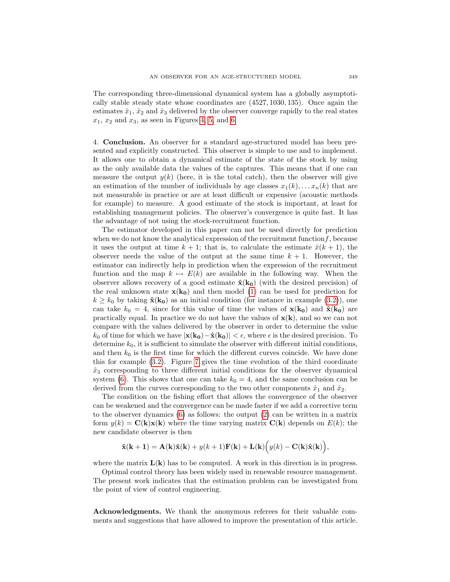The corresponding three-dimensional dynamical system has a globally asymptotically stable steady state whose coordinates are (4527, 1030, 135). Once again the estimates  $\hat{x}_1$ ,  $\hat{x}_2$  and  $\hat{x}_3$  delivered by the observer converge rapidly to the real states  $x_1, x_2$  and  $x_3$ , as seen in Figures 4, 5, and 6.

4. Conclusion. An observer for a standard age-structured model has been presented and explicitly constructed. This observer is simple to use and to implement. It allows one to obtain a dynamical estimate of the state of the stock by using as the only available data the values of the captures. This means that if one can measure the output  $y(k)$  (here, it is the total catch), then the observer will give an estimation of the number of individuals by age classes  $x_1(k), \ldots, x_n(k)$  that are not measurable in practice or are at least difficult or expensive (acoustic methods for example) to measure. A good estimate of the stock is important, at least for establishing management policies. The observer's convergence is quite fast. It has the advantage of not using the stock-recruitment function.

The estimator developed in this paper can not be used directly for prediction when we do not know the analytical expression of the recruitment function  $f$ , because it uses the output at time  $k + 1$ ; that is, to calculate the estimate  $\hat{x}(k + 1)$ , the observer needs the value of the output at the same time  $k + 1$ . However, the estimator can indirectly help in prediction when the expression of the recruitment function and the map  $k \mapsto E(k)$  are available in the following way. When the observer allows recovery of a good estimate  $\hat{\mathbf{x}}(\mathbf{k_0})$  (with the desired precision) of the real unknown state  $\mathbf{x}(\mathbf{k_0})$  and then model (1) can be used for prediction for  $k \geq k_0$  by taking  $\hat{\mathbf{x}}(\mathbf{k_0})$  as an initial condition (for instance in example (3.2)), one can take  $k_0 = 4$ , since for this value of time the values of  $\mathbf{x}(\mathbf{k_0})$  and  $\hat{\mathbf{x}}(\mathbf{k_0})$  are practically equal. In practice we do not have the values of  $x(k)$ , and so we can not compare with the values delivered by the observer in order to determine the value  $k_0$  of time for which we have  $|\mathbf{x}(\mathbf{k_0})-\hat{\mathbf{x}}(\mathbf{k_0})| < \epsilon$ , where  $\epsilon$  is the desired precision. To determine  $k_0$ , it is sufficient to simulate the observer with different initial conditions, and then  $k_0$  is the first time for which the different curves coincide. We have done this for example (3.2). Figure 7 gives the time evolution of the third coordinate  $\hat{x}_3$  corresponding to three different initial conditions for the observer dynamical system (6). This shows that one can take  $k_0 = 4$ , and the same conclusion can be derived from the curves corresponding to the two other components  $\hat{x}_1$  and  $\hat{x}_2$ .

The condition on the fishing effort that allows the convergence of the observer can be weakened and the convergence can be made faster if we add a corrective term to the observer dynamics (6) as follows: the output (2) can be written in a matrix form  $y(k) = C(k)x(k)$  where the time varying matrix  $C(k)$  depends on  $E(k)$ ; the new candidate observer is then

$$
\hat{\mathbf{x}}(\mathbf{k+1}) = \mathbf{A}(\mathbf{k})\hat{\mathbf{x}}(\mathbf{k}) + y(k+1)\mathbf{F}(\mathbf{k}) + \mathbf{L}(\mathbf{k})\Big(y(k) - \mathbf{C}(\mathbf{k})\hat{\mathbf{x}}(\mathbf{k})\Big),
$$

where the matrix  $L(k)$  has to be computed. A work in this direction is in progress.

Optimal control theory has been widely used in renewable resource management. The present work indicates that the estimation problem can be investigated from the point of view of control engineering.

Acknowledgments. We thank the anonymous referees for their valuable comments and suggestions that have allowed to improve the presentation of this article.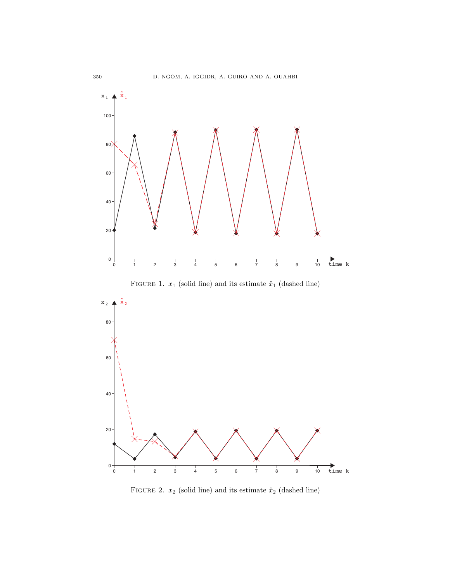

FIGURE 1.  $x_1$  (solid line) and its estimate  $\hat{x}_1$  (dashed line)



FIGURE 2.  $x_2$  (solid line) and its estimate  $\hat{x}_2$  (dashed line)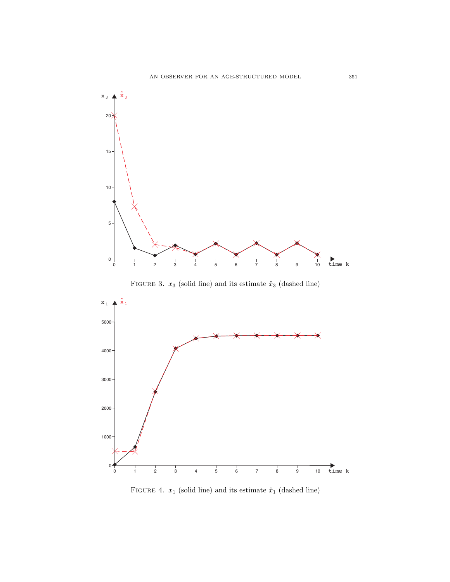

FIGURE 3.  $x_3$  (solid line) and its estimate  $\hat{x}_3$  (dashed line)



FIGURE 4.  $x_1$  (solid line) and its estimate  $\hat{x}_1$  (dashed line)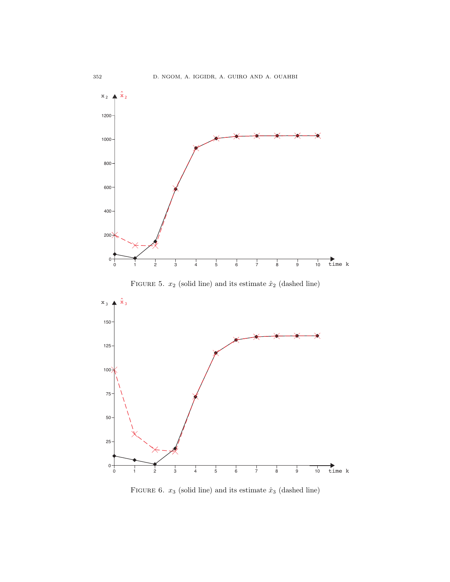

FIGURE 5.  $x_2$  (solid line) and its estimate  $\hat{x}_2$  (dashed line)



FIGURE 6.  $x_3$  (solid line) and its estimate  $\hat{x}_3$  (dashed line)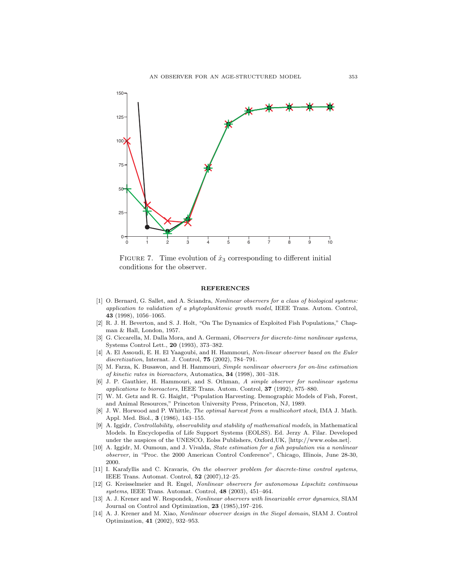

FIGURE 7. Time evolution of  $\hat{x}_3$  corresponding to different initial conditions for the observer.

#### **REFERENCES**

- [1] O. Bernard, G. Sallet, and A. Sciandra, Nonlinear observers for a class of biological systems: application to validation of a phytoplanktonic growth model, IEEE Trans. Autom. Control, 43 (1998), 1056–1065.
- [2] R. J. H. Beverton, and S. J. Holt, "On The Dynamics of Exploited Fish Populations," Chapman & Hall, London, 1957.
- [3] G. Ciccarella, M. Dalla Mora, and A. Germani, Observers for discrete-time nonlinear systems, Systems Control Lett., 20 (1993), 373–382.
- [4] A. El Assoudi, E. H. El Yaagoubi, and H. Hammouri, Non-linear observer based on the Euler discretization, Internat. J. Control, **75** (2002), 784-791.
- [5] M. Farza, K. Busawon, and H. Hammouri, Simple nonlinear observers for on-line estimation of kinetic rates in bioreactors, Automatica, 34 (1998), 301–318.
- [6] J. P. Gauthier, H. Hammouri, and S. Othman, A simple observer for nonlinear systems applications to bioreactors, IEEE Trans. Autom. Control, 37 (1992), 875–880.
- [7] W. M. Getz and R. G. Haight, "Population Harvesting. Demographic Models of Fish, Forest, and Animal Resources," Princeton University Press, Princeton, NJ, 1989.
- [8] J. W. Horwood and P. Whittle, The optimal harvest from a multicohort stock, IMA J. Math. Appl. Med. Biol., 3 (1986), 143–155.
- [9] A. Iggidr, Controllability, observability and stability of mathematical models, in Mathematical Models. In Encyclopedia of Life Support Systems (EOLSS). Ed. Jerzy A. Filar. Developed under the auspices of the UNESCO, Eolss Publishers, Oxford,UK, [http://www.eolss.net].
- [10] A. Iggidr, M. Oumoun, and J. Vivalda, State estimation for a fish population via a nonlinear observer, in "Proc. the 2000 American Control Conference", Chicago, Illinois, June 28-30, 2000.
- [11] I. Karafyllis and C. Kravaris, On the observer problem for discrete-time control systems, IEEE Trans. Automat. Control, 52 (2007),12–25.
- [12] G. Kreisselmeier and R. Engel, Nonlinear observers for autonomous Lipschitz continuous systems, IEEE Trans. Automat. Control, 48 (2003), 451–464.
- [13] A. J. Krener and W. Respondek, Nonlinear observers with linearizable error dynamics, SIAM Journal on Control and Optimization, 23 (1985),197–216.
- [14] A. J. Krener and M. Xiao, Nonlinear observer design in the Siegel domain, SIAM J. Control Optimization, 41 (2002), 932–953.